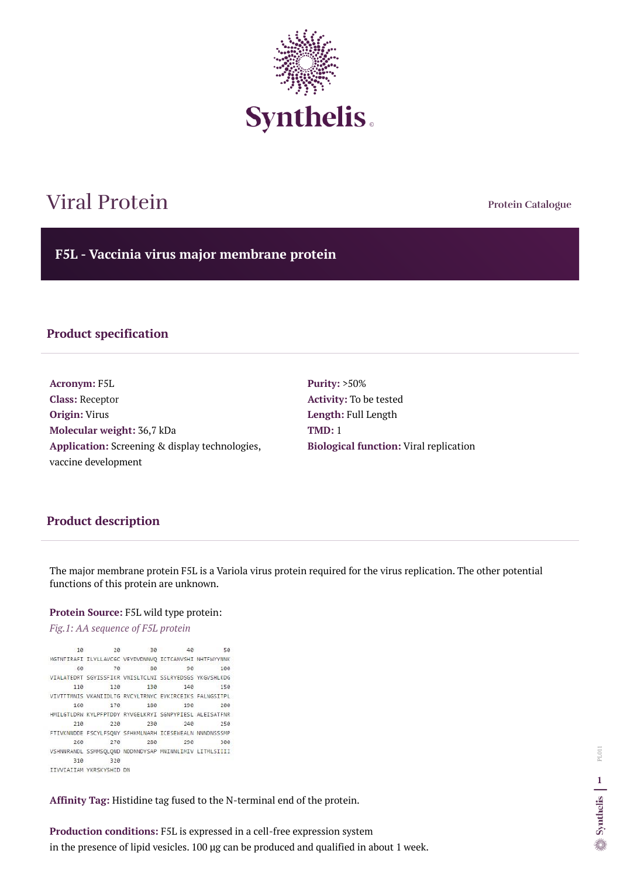**Protein Catalogue**

**F5L - Vaccinia virus major membrane protein**



# Viral Protein

## **Product specification**

**Acronym:** F5L **Class:** Receptor **Origin:** Virus **Molecular weight:** 36,7 kDa **Application:** Screening & display technologies, vaccine development

**Purity:** >50% **Activity:** To be tested **Length:** Full Length **TMD:** 1 **Biological function:** Viral replication

### **Product description**

The major membrane protein F5L is a Variola virus protein required for the virus replication. The other potential functions of this protein are unknown.

#### **Protein Source:** F5L wild type protein:

*Fig.1: AA sequence of F5L protein* 

40 10 20 30 50 MGTNTIRAFI ILYLLAVCGC VEYDVDNNVQ ICTCANVSHI NHTFWYYNNK 70 80 60 90 100 VIALATEDRT SGYISSFIKR VNISLTCLNI SSLRYEDSGS YKGVSHLKDG 110 120 130 140 150 VIVTTTMNIS VKANIIDLTG RVCYLTRNYC EVKIRCEIKS FALNGSITPL 160 170 180 190 200 HMILGTLDRW KYLPFPTDDY RYVGELKRYI SGNPYPIESL ALEISATFNR 220 230 240 210 250 FTIVKNNDDE FSCYLFSQNY SFHKMLNARH ICESEWEALN NNNDNSSSMP 260 270 280 290 300 VSHNNRANDL SSMMSQLQND NDDNNDYSAP MNINNLIMIV LITMLSIIII 310 320 IIVVIAIIAM YKRSKYSHID DN

**Affinity Tag:** Histidine tag fused to the N-terminal end of the protein.

**Production conditions:** F5L is expressed in a cell-free expression system in the presence of lipid vesicles. 100 µg can be produced and qualified in about 1 week.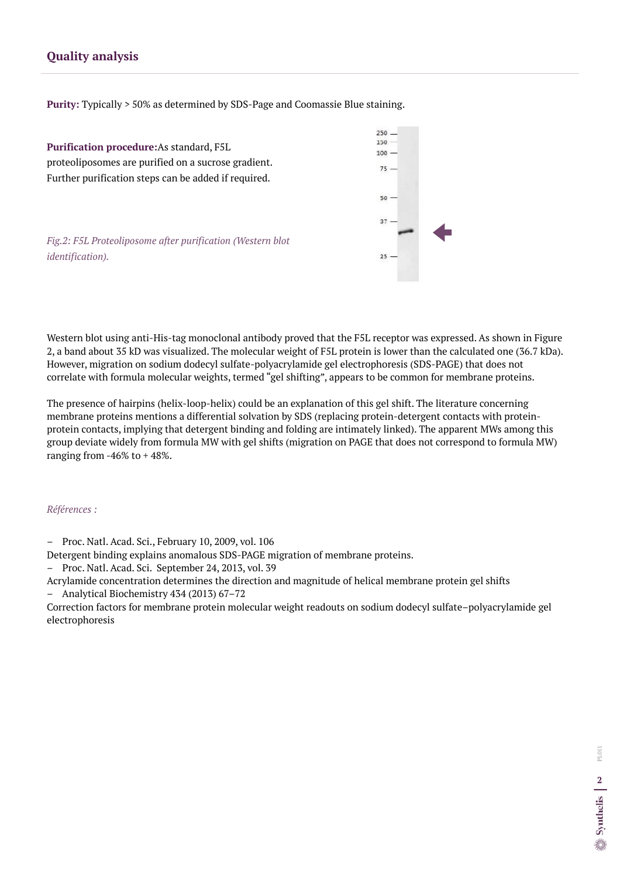## **Quality analysis**

**Purity:** Typically > 50% as determined by SDS-Page and Coomassie Blue staining.

The presence of hairpins (helix-loop-helix) could be an explanation of this gel shift. The literature concerning membrane proteins mentions a differential solvation by SDS (replacing protein-detergent contacts with proteinprotein contacts, implying that detergent binding and folding are intimately linked). The apparent MWs among this group deviate widely from formula MW with gel shifts (migration on PAGE that does not correspond to formula MW) ranging from  $-46\%$  to  $+48\%$ .





**Purification procedure:**As standard, F5L proteoliposomes are purified on a sucrose gradient. Further purification steps can be added if required.

*Fig.2: F5L Proteoliposome after purification (Western blot identification).*

#### *Références :*

– Proc. Natl. Acad. Sci., February 10, 2009, vol. 106

Detergent binding explains anomalous SDS-PAGE migration of membrane proteins.

- Proc. Natl. Acad. Sci. September 24, 2013, vol. 39
- Acrylamide concentration determines the direction and magnitude of helical membrane protein gel shifts
- Analytical Biochemistry 434 (2013) 67–72

Correction factors for membrane protein molecular weight readouts on sodium dodecyl sulfate–polyacrylamide gel electrophoresis